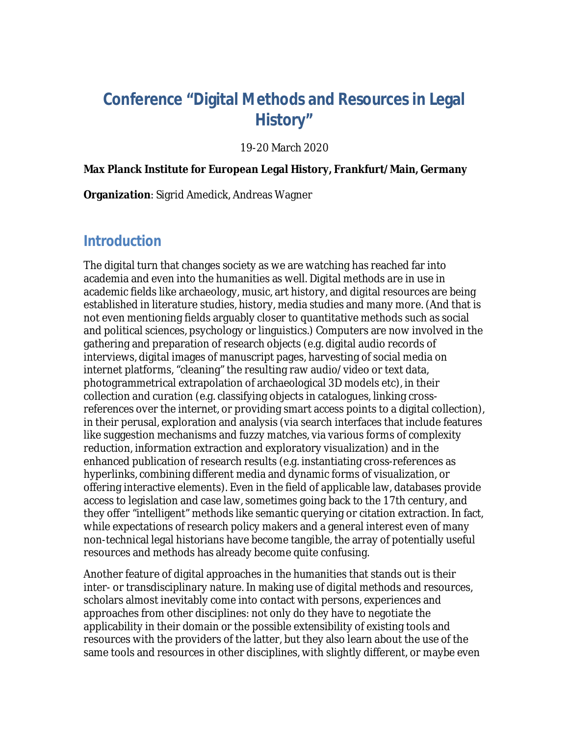# **Conference "Digital Methods and Resources in Legal History"**

#### 19-20 March 2020

**Max Planck Institute for European Legal History, Frankfurt/Main, Germany**

**Organization**: Sigrid Amedick, Andreas Wagner

#### **Introduction**

The digital turn that changes society as we are watching has reached far into academia and even into the humanities as well. Digital methods are in use in academic fields like archaeology, music, art history, and digital resources are being established in literature studies, history, media studies and many more. (And that is not even mentioning fields arguably closer to quantitative methods such as social and political sciences, psychology or linguistics.) Computers are now involved in the gathering and preparation of research objects (e.g. digital audio records of interviews, digital images of manuscript pages, harvesting of social media on internet platforms, "cleaning" the resulting raw audio/video or text data, photogrammetrical extrapolation of archaeological 3D models etc), in their collection and curation (e.g. classifying objects in catalogues, linking crossreferences over the internet, or providing smart access points to a digital collection), in their perusal, exploration and analysis (via search interfaces that include features like suggestion mechanisms and fuzzy matches, via various forms of complexity reduction, information extraction and exploratory visualization) and in the enhanced publication of research results (e.g. instantiating cross-references as hyperlinks, combining different media and dynamic forms of visualization, or offering interactive elements). Even in the field of applicable law, databases provide access to legislation and case law, sometimes going back to the 17th century, and they offer "intelligent" methods like semantic querying or citation extraction. In fact, while expectations of research policy makers and a general interest even of many non-technical legal historians have become tangible, the array of potentially useful resources and methods has already become quite confusing.

Another feature of digital approaches in the humanities that stands out is their inter- or transdisciplinary nature. In making use of digital methods and resources, scholars almost inevitably come into contact with persons, experiences and approaches from other disciplines: not only do they have to negotiate the applicability in their domain or the possible extensibility of existing tools and resources with the providers of the latter, but they also learn about the use of the same tools and resources in other disciplines, with slightly different, or maybe even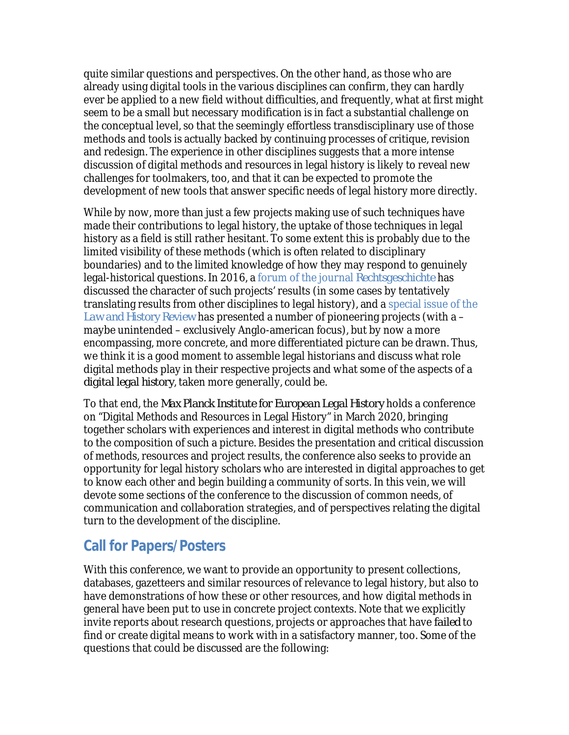quite similar questions and perspectives. On the other hand, as those who are already using digital tools in the various disciplines can confirm, they can hardly ever be applied to a new field without difficulties, and frequently, what at first might seem to be a small but necessary modification is in fact a substantial challenge on the conceptual level, so that the seemingly effortless transdisciplinary use of those methods and tools is actually backed by continuing processes of critique, revision and redesign. The experience in other disciplines suggests that a more intense discussion of digital methods and resources in legal history is likely to reveal new challenges for toolmakers, too, and that it can be expected to promote the development of new tools that answer specific needs of legal history more directly.

While by now, more than just a few projects making use of such techniques have made their contributions to legal history, the uptake of those techniques in legal history as a field is still rather hesitant. To some extent this is probably due to the limited visibility of these methods (which is often related to disciplinary boundaries) and to the limited know[ledge of how they ma](http://rg.rg.mpg.de/de/Rg24#accessibletabscontent0-2)y respond to genuinely legal-historical questions. In 2016, a forum of the journal *Rechtsgeschichte* has discussed the character of such projects' results (in some cases [by tentatively](https://www.cambridge.org/core/journals/law-and-history-review/issue/2CA28F4B8C1CE148C5E5FB935518AD6C) [translating results from](https://www.cambridge.org/core/journals/law-and-history-review/issue/2CA28F4B8C1CE148C5E5FB935518AD6C) other disciplines to legal history), and a special issue of the *Law and History Review* has presented a number of pioneering projects (with a – maybe unintended – exclusively Anglo-american focus), but by now a more encompassing, more concrete, and more differentiated picture can be drawn. Thus, we think it is a good moment to assemble legal historians and discuss what role digital methods play in their respective projects and what some of the aspects of a *digital legal history*, taken more generally, could be.

To that end, the *Max Planck Institute for European Legal History* holds a conference on "Digital Methods and Resources in Legal History" in March 2020, bringing together scholars with experiences and interest in digital methods who contribute to the composition of such a picture. Besides the presentation and critical discussion of methods, resources and project results, the conference also seeks to provide an opportunity for legal history scholars who are interested in digital approaches to get to know each other and begin building a community of sorts. In this vein, we will devote some sections of the conference to the discussion of common needs, of communication and collaboration strategies, and of perspectives relating the digital turn to the development of the discipline.

## **Call for Papers/Posters**

With this conference, we want to provide an opportunity to present collections, databases, gazetteers and similar resources of relevance to legal history, but also to have demonstrations of how these or other resources, and how digital methods in general have been put to use in concrete project contexts. Note that we explicitly invite reports about research questions, projects or approaches that have *failed* to find or create digital means to work with in a satisfactory manner, too. Some of the questions that could be discussed are the following: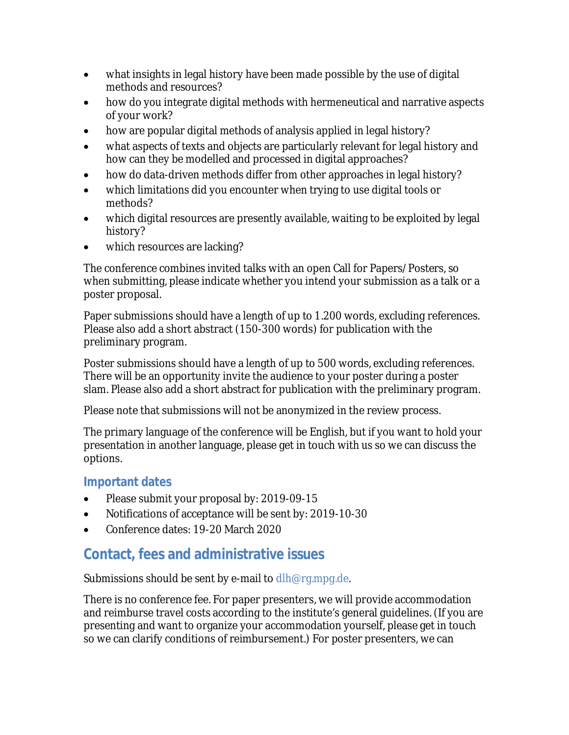- · what insights in legal history have been made possible by the use of digital methods and resources?
- · how do you integrate digital methods with hermeneutical and narrative aspects of your work?
- how are popular digital methods of analysis applied in legal history?
- · what aspects of texts and objects are particularly relevant for legal history and how can they be modelled and processed in digital approaches?
- · how do data-driven methods differ from other approaches in legal history?
- · which limitations did you encounter when trying to use digital tools or methods?
- · which digital resources are presently available, waiting to be exploited by legal history?
- which resources are lacking?

The conference combines invited talks with an open Call for Papers/Posters, so when submitting, please indicate whether you intend your submission as a talk or a poster proposal.

Paper submissions should have a length of up to 1.200 words, excluding references. Please also add a short abstract (150-300 words) for publication with the preliminary program.

Poster submissions should have a length of up to 500 words, excluding references. There will be an opportunity invite the audience to your poster during a poster slam. Please also add a short abstract for publication with the preliminary program.

Please note that submissions will not be anonymized in the review process.

The primary language of the conference will be English, but if you want to hold your presentation in another language, please get in touch with us so we can discuss the options.

#### **Important dates**

- · Please submit your proposal by: 2019-09-15
- · Notifications of acceptance will be sent by: 2019-10-30
- · Conference dates: 19-20 March 2020

## **Contact, fees and administrative issues**

Submissions should be sent by e-mail to [dlh@rg.mpg.de](mailto:dlh@rg.mpg.de).

There is no conference fee. For paper presenters, we will provide accommodation and reimburse travel costs according to the institute's general guidelines. (If you are presenting and want to organize your accommodation yourself, please get in touch so we can clarify conditions of reimbursement.) For poster presenters, we can